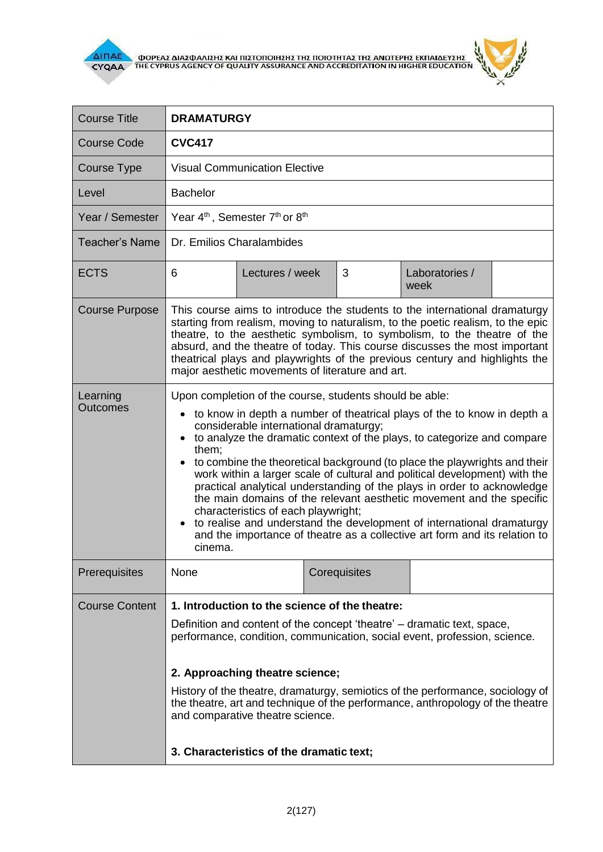

r



| <b>Course Title</b>         | <b>DRAMATURGY</b>                                                                                                                                                                                                                                                                                                                                                                                                                                                                                                                                                                                                                                                                                                                                                                                    |                 |  |              |                        |  |  |
|-----------------------------|------------------------------------------------------------------------------------------------------------------------------------------------------------------------------------------------------------------------------------------------------------------------------------------------------------------------------------------------------------------------------------------------------------------------------------------------------------------------------------------------------------------------------------------------------------------------------------------------------------------------------------------------------------------------------------------------------------------------------------------------------------------------------------------------------|-----------------|--|--------------|------------------------|--|--|
| <b>Course Code</b>          | <b>CVC417</b>                                                                                                                                                                                                                                                                                                                                                                                                                                                                                                                                                                                                                                                                                                                                                                                        |                 |  |              |                        |  |  |
| <b>Course Type</b>          | <b>Visual Communication Elective</b>                                                                                                                                                                                                                                                                                                                                                                                                                                                                                                                                                                                                                                                                                                                                                                 |                 |  |              |                        |  |  |
| Level                       | <b>Bachelor</b>                                                                                                                                                                                                                                                                                                                                                                                                                                                                                                                                                                                                                                                                                                                                                                                      |                 |  |              |                        |  |  |
| Year / Semester             | Year 4 <sup>th</sup> , Semester 7 <sup>th</sup> or 8 <sup>th</sup>                                                                                                                                                                                                                                                                                                                                                                                                                                                                                                                                                                                                                                                                                                                                   |                 |  |              |                        |  |  |
| <b>Teacher's Name</b>       | Dr. Emilios Charalambides                                                                                                                                                                                                                                                                                                                                                                                                                                                                                                                                                                                                                                                                                                                                                                            |                 |  |              |                        |  |  |
| <b>ECTS</b>                 | 6                                                                                                                                                                                                                                                                                                                                                                                                                                                                                                                                                                                                                                                                                                                                                                                                    | Lectures / week |  | 3            | Laboratories /<br>week |  |  |
| <b>Course Purpose</b>       | This course aims to introduce the students to the international dramaturgy<br>starting from realism, moving to naturalism, to the poetic realism, to the epic<br>theatre, to the aesthetic symbolism, to symbolism, to the theatre of the<br>absurd, and the theatre of today. This course discusses the most important<br>theatrical plays and playwrights of the previous century and highlights the<br>major aesthetic movements of literature and art.                                                                                                                                                                                                                                                                                                                                           |                 |  |              |                        |  |  |
| Learning<br><b>Outcomes</b> | Upon completion of the course, students should be able:<br>to know in depth a number of theatrical plays of the to know in depth a<br>$\bullet$<br>considerable international dramaturgy;<br>to analyze the dramatic context of the plays, to categorize and compare<br>them;<br>to combine the theoretical background (to place the playwrights and their<br>work within a larger scale of cultural and political development) with the<br>practical analytical understanding of the plays in order to acknowledge<br>the main domains of the relevant aesthetic movement and the specific<br>characteristics of each playwright;<br>to realise and understand the development of international dramaturgy<br>and the importance of theatre as a collective art form and its relation to<br>cinema. |                 |  |              |                        |  |  |
| Prerequisites               | None                                                                                                                                                                                                                                                                                                                                                                                                                                                                                                                                                                                                                                                                                                                                                                                                 |                 |  | Corequisites |                        |  |  |
| <b>Course Content</b>       | 1. Introduction to the science of the theatre:<br>Definition and content of the concept 'theatre' – dramatic text, space,<br>performance, condition, communication, social event, profession, science.<br>2. Approaching theatre science;<br>History of the theatre, dramaturgy, semiotics of the performance, sociology of<br>the theatre, art and technique of the performance, anthropology of the theatre<br>and comparative theatre science.<br>3. Characteristics of the dramatic text;                                                                                                                                                                                                                                                                                                        |                 |  |              |                        |  |  |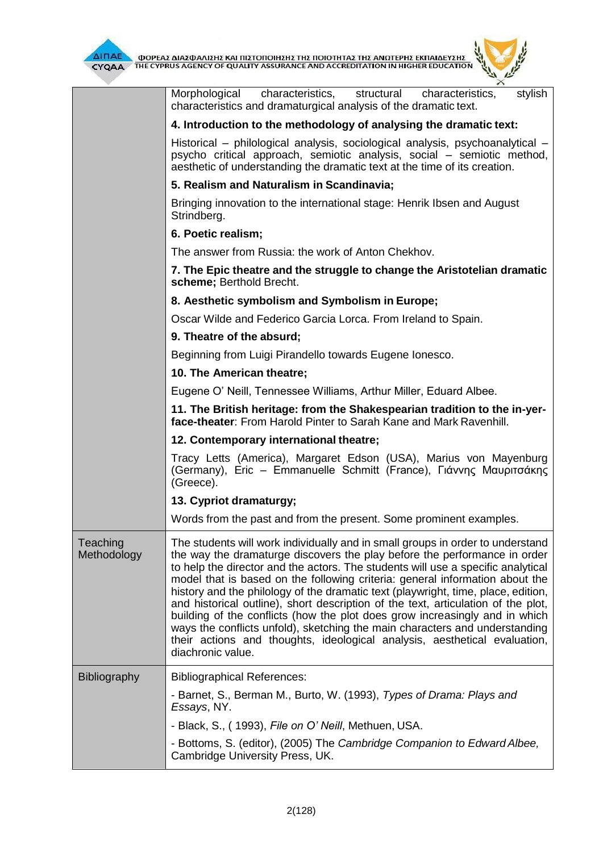

 $\frac{1}{\sqrt{2\pi}}\sum_{n=1}^{\infty}\frac{1}{n^2}$  $\overline{\Delta}$ INAE OOPEAE AIAE DANIEHE KAI NIETONOIHEHE THE NOIOTHTAE THE ANOTEPHE EKNAIAEYEHE

 $\mu$ 

|                         | Morphological<br>characteristics,<br>structural<br>stylish<br>characteristics,<br>characteristics and dramaturgical analysis of the dramatic text.                                                                                                                                                                                                                                                                                                                                                                                                                                                                                                                                                                                                                        |
|-------------------------|---------------------------------------------------------------------------------------------------------------------------------------------------------------------------------------------------------------------------------------------------------------------------------------------------------------------------------------------------------------------------------------------------------------------------------------------------------------------------------------------------------------------------------------------------------------------------------------------------------------------------------------------------------------------------------------------------------------------------------------------------------------------------|
|                         | 4. Introduction to the methodology of analysing the dramatic text:                                                                                                                                                                                                                                                                                                                                                                                                                                                                                                                                                                                                                                                                                                        |
|                         | Historical – philological analysis, sociological analysis, psychoanalytical –<br>psycho critical approach, semiotic analysis, social - semiotic method,<br>aesthetic of understanding the dramatic text at the time of its creation.                                                                                                                                                                                                                                                                                                                                                                                                                                                                                                                                      |
|                         | 5. Realism and Naturalism in Scandinavia;                                                                                                                                                                                                                                                                                                                                                                                                                                                                                                                                                                                                                                                                                                                                 |
|                         | Bringing innovation to the international stage: Henrik Ibsen and August<br>Strindberg.                                                                                                                                                                                                                                                                                                                                                                                                                                                                                                                                                                                                                                                                                    |
|                         | 6. Poetic realism;                                                                                                                                                                                                                                                                                                                                                                                                                                                                                                                                                                                                                                                                                                                                                        |
|                         | The answer from Russia: the work of Anton Chekhov.                                                                                                                                                                                                                                                                                                                                                                                                                                                                                                                                                                                                                                                                                                                        |
|                         | 7. The Epic theatre and the struggle to change the Aristotelian dramatic<br>scheme; Berthold Brecht.                                                                                                                                                                                                                                                                                                                                                                                                                                                                                                                                                                                                                                                                      |
|                         | 8. Aesthetic symbolism and Symbolism in Europe;                                                                                                                                                                                                                                                                                                                                                                                                                                                                                                                                                                                                                                                                                                                           |
|                         | Oscar Wilde and Federico Garcia Lorca. From Ireland to Spain.                                                                                                                                                                                                                                                                                                                                                                                                                                                                                                                                                                                                                                                                                                             |
|                         | 9. Theatre of the absurd;                                                                                                                                                                                                                                                                                                                                                                                                                                                                                                                                                                                                                                                                                                                                                 |
|                         | Beginning from Luigi Pirandello towards Eugene Ionesco.                                                                                                                                                                                                                                                                                                                                                                                                                                                                                                                                                                                                                                                                                                                   |
|                         | 10. The American theatre;                                                                                                                                                                                                                                                                                                                                                                                                                                                                                                                                                                                                                                                                                                                                                 |
|                         | Eugene O' Neill, Tennessee Williams, Arthur Miller, Eduard Albee.                                                                                                                                                                                                                                                                                                                                                                                                                                                                                                                                                                                                                                                                                                         |
|                         | 11. The British heritage: from the Shakespearian tradition to the in-yer-<br>face-theater: From Harold Pinter to Sarah Kane and Mark Ravenhill.                                                                                                                                                                                                                                                                                                                                                                                                                                                                                                                                                                                                                           |
|                         |                                                                                                                                                                                                                                                                                                                                                                                                                                                                                                                                                                                                                                                                                                                                                                           |
|                         | 12. Contemporary international theatre;                                                                                                                                                                                                                                                                                                                                                                                                                                                                                                                                                                                                                                                                                                                                   |
|                         | Tracy Letts (America), Margaret Edson (USA), Marius von Mayenburg<br>(Germany), Eric – Emmanuelle Schmitt (France), Γιάννης Μαυριτσάκης<br>(Greece).                                                                                                                                                                                                                                                                                                                                                                                                                                                                                                                                                                                                                      |
|                         | 13. Cypriot dramaturgy;                                                                                                                                                                                                                                                                                                                                                                                                                                                                                                                                                                                                                                                                                                                                                   |
|                         | Words from the past and from the present. Some prominent examples.                                                                                                                                                                                                                                                                                                                                                                                                                                                                                                                                                                                                                                                                                                        |
| Teaching<br>Methodology | The students will work individually and in small groups in order to understand<br>the way the dramaturge discovers the play before the performance in order<br>to help the director and the actors. The students will use a specific analytical<br>model that is based on the following criteria: general information about the<br>history and the philology of the dramatic text (playwright, time, place, edition,<br>and historical outline), short description of the text, articulation of the plot,<br>building of the conflicts (how the plot does grow increasingly and in which<br>ways the conflicts unfold), sketching the main characters and understanding<br>their actions and thoughts, ideological analysis, aesthetical evaluation,<br>diachronic value. |
| <b>Bibliography</b>     | <b>Bibliographical References:</b>                                                                                                                                                                                                                                                                                                                                                                                                                                                                                                                                                                                                                                                                                                                                        |
|                         | - Barnet, S., Berman M., Burto, W. (1993), Types of Drama: Plays and<br>Essays, NY.                                                                                                                                                                                                                                                                                                                                                                                                                                                                                                                                                                                                                                                                                       |
|                         | - Black, S., (1993), File on O' Neill, Methuen, USA.                                                                                                                                                                                                                                                                                                                                                                                                                                                                                                                                                                                                                                                                                                                      |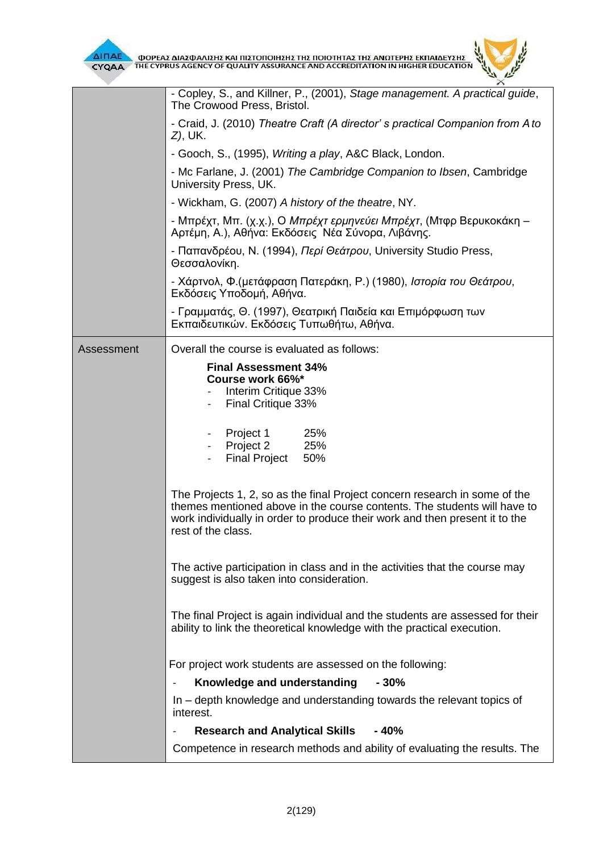

|            | - Copley, S., and Killner, P., (2001), Stage management. A practical guide,<br>The Crowood Press, Bristol.                                                                                                                                                  |  |  |  |  |  |
|------------|-------------------------------------------------------------------------------------------------------------------------------------------------------------------------------------------------------------------------------------------------------------|--|--|--|--|--|
|            | - Craid, J. (2010) Theatre Craft (A director' s practical Companion from A to<br><i>Z</i> ), UK.                                                                                                                                                            |  |  |  |  |  |
|            | - Gooch, S., (1995), Writing a play, A&C Black, London.                                                                                                                                                                                                     |  |  |  |  |  |
|            | - Mc Farlane, J. (2001) The Cambridge Companion to Ibsen, Cambridge<br>University Press, UK.                                                                                                                                                                |  |  |  |  |  |
|            | - Wickham, G. (2007) A history of the theatre, NY.                                                                                                                                                                                                          |  |  |  |  |  |
|            | - Μπρέχτ, Μπ. (χ.χ.), Ο <i>Μπρέχτ ερμηνεύει Μπρέχτ</i> , (Μτφρ Βερυκοκάκη –<br>Αρτέμη, Α.), Αθήνα: Εκδόσεις Νέα Σύνορα, Λιβάνης.                                                                                                                            |  |  |  |  |  |
|            | - Παπανδρέου, Ν. (1994), Περί Θεάτρου, University Studio Press,<br>Θεσσαλονίκη.                                                                                                                                                                             |  |  |  |  |  |
|            | - Χάρτνολ, Φ. (μετάφραση Πατεράκη, Ρ.) (1980), Ιστορία του Θεάτρου,<br>Εκδόσεις Υποδομή, Αθήνα.                                                                                                                                                             |  |  |  |  |  |
|            | - Γραμματάς, Θ. (1997), Θεατρική Παιδεία και Επιμόρφωση των<br>Εκπαιδευτικών. Εκδόσεις Τυπωθήτω, Αθήνα.                                                                                                                                                     |  |  |  |  |  |
| Assessment | Overall the course is evaluated as follows:                                                                                                                                                                                                                 |  |  |  |  |  |
|            | <b>Final Assessment 34%</b><br>Course work 66%*<br>Interim Critique 33%<br>Final Critique 33%                                                                                                                                                               |  |  |  |  |  |
|            | 25%<br>Project 1<br>Project 2<br>25%<br><b>Final Project</b><br>50%                                                                                                                                                                                         |  |  |  |  |  |
|            | The Projects 1, 2, so as the final Project concern research in some of the<br>themes mentioned above in the course contents. The students will have to<br>work individually in order to produce their work and then present it to the<br>rest of the class. |  |  |  |  |  |
|            | The active participation in class and in the activities that the course may<br>suggest is also taken into consideration.                                                                                                                                    |  |  |  |  |  |
|            | The final Project is again individual and the students are assessed for their<br>ability to link the theoretical knowledge with the practical execution.                                                                                                    |  |  |  |  |  |
|            | For project work students are assessed on the following:                                                                                                                                                                                                    |  |  |  |  |  |
|            | Knowledge and understanding<br>$-30%$                                                                                                                                                                                                                       |  |  |  |  |  |
|            | In – depth knowledge and understanding towards the relevant topics of<br>interest.                                                                                                                                                                          |  |  |  |  |  |
|            | <b>Research and Analytical Skills - 40%</b>                                                                                                                                                                                                                 |  |  |  |  |  |
|            | Competence in research methods and ability of evaluating the results. The                                                                                                                                                                                   |  |  |  |  |  |